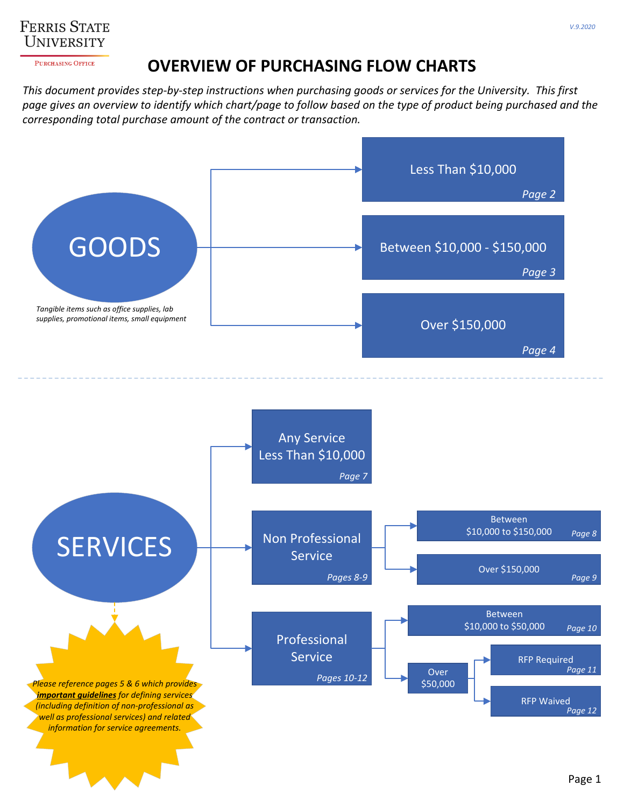

PURCHASING OFFICE

## **OVERVIEW OF PURCHASING FLOW CHARTS**

This document provides step-by-step instructions when purchasing goods or services for the University. This first page gives an overview to identify which chart/page to follow based on the type of product being purchased and the *corresponding total purchase amount of the contract or transaction.*

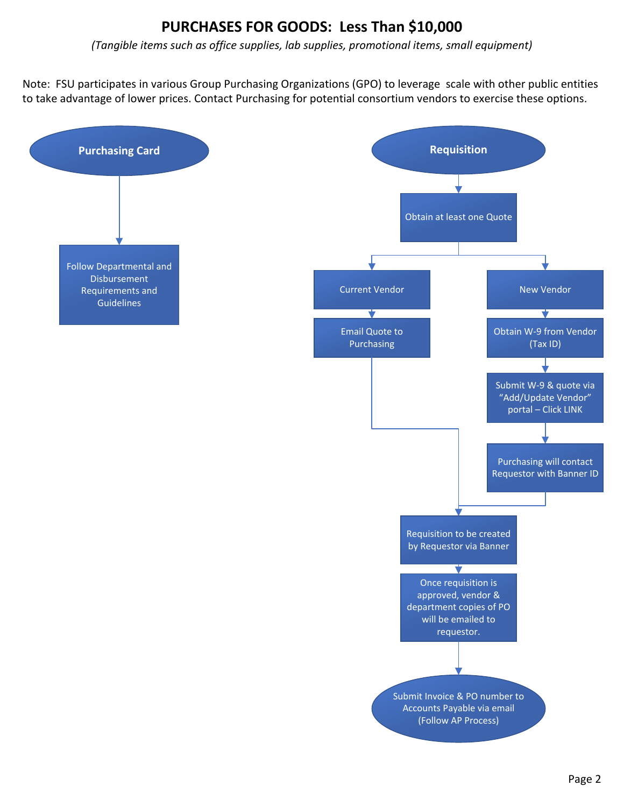# **PURCHASES FOR GOODS: Less Than \$10,000**

*(Tangible items such as office supplies, lab supplies, promotional items, small equipment)*

Note: FSU participates in various Group Purchasing Organizations (GPO) to leverage scale with other public entities to take advantage of lower prices. Contact Purchasing for potential consortium vendors to exercise these options.

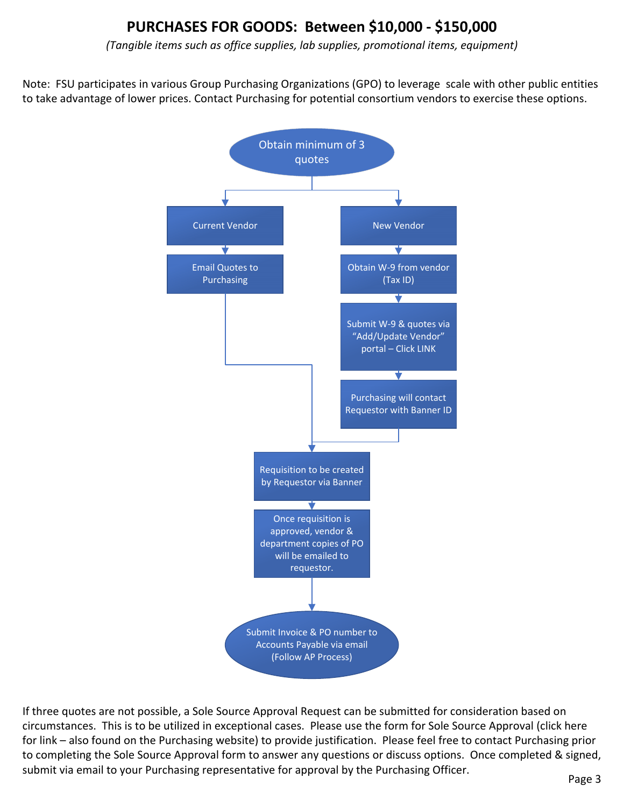# **PURCHASES FOR GOODS: Between \$10,000 ‐ \$150,000**

*(Tangible items such as office supplies, lab supplies, promotional items, equipment)*

Note: FSU participates in various Group Purchasing Organizations (GPO) to leverage scale with other public entities to take advantage of lower prices. Contact Purchasing for potential consortium vendors to exercise these options.



If three quotes are not possible, a Sole Source Approval Request can be submitted for consideration based on [circumstances.](https://www.ferris.edu/HTMLS/administration/purchase/pdfs-docs/forms/SOLE_SOURCE_APPROVAL_REQUEST_Aug2020.pdf) This is to be utilized in exceptional cases. Please use the form for Sole Source Approval (click here for link – also found on the Purchasing website) to provide justification. Please feel free to contact Purchasing prior to completing the Sole Source Approval form to answer any questions or discuss options. Once completed & signed, submit via email to your Purchasing representative for approval by the Purchasing Officer.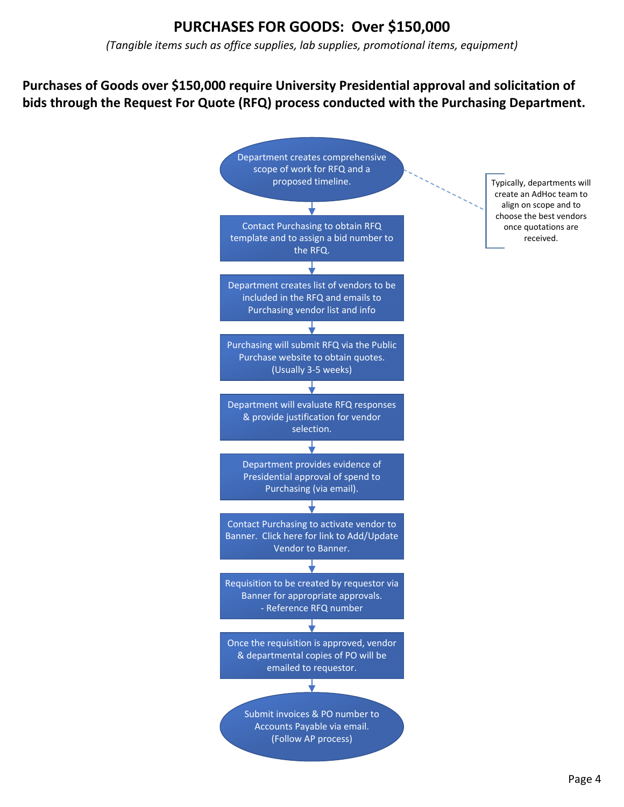# **PURCHASES FOR GOODS: Over \$150,000**

*(Tangible items such as office supplies, lab supplies, promotional items, equipment)*

#### **Purchases of Goods over \$150,000 require University Presidential approval and solicitation of bids through the Request For Quote (RFQ) process conducted with the Purchasing Department.**

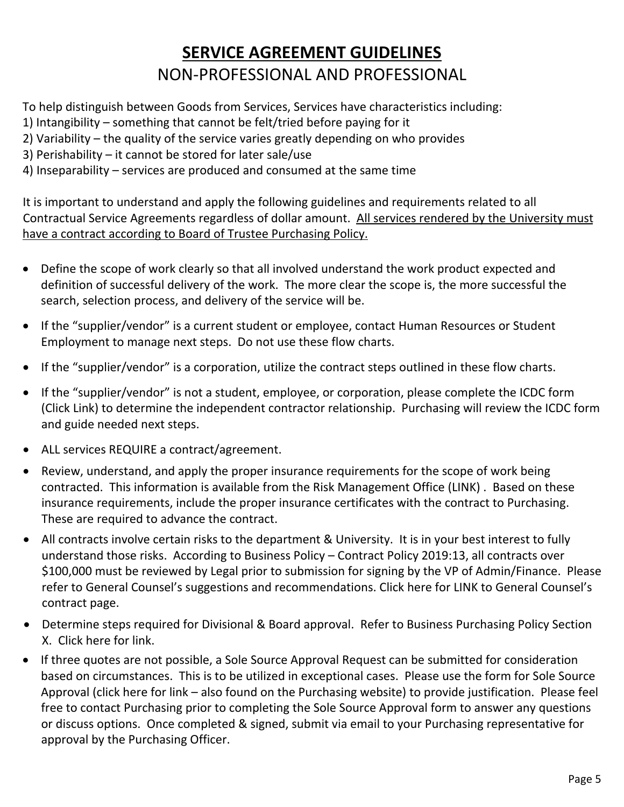# **SERVICE AGREEMENT GUIDELINES** NON‐PROFESSIONAL AND PROFESSIONAL

To help distinguish between Goods from Services, Services have characteristics including:

- 1) Intangibility something that cannot be felt/tried before paying for it
- 2) Variability the quality of the service varies greatly depending on who provides
- 3) Perishability it cannot be stored for later sale/use
- 4) Inseparability services are produced and consumed at the same time

It is important to understand and apply the following guidelines and requirements related to all Contractual Service Agreements regardless of dollar amount. All services rendered by the University must have a contract according to Board of Trustee Purchasing Policy.

- Define the scope of work clearly so that all involved understand the work product expected and definition of successful delivery of the work. The more clear the scope is, the more successful the search, selection process, and delivery of the service will be.
- If the "supplier/vendor" is a current student or employee, contact Human Resources or Student Employment to manage next steps. Do not use these flow charts.
- If the "supplier/vendor" is a corporation, utilize the contract steps outlined in these flow charts.
- If the "supplier/vendor" is not a student, employee, or corporation, please complete the ICDC form (Click Link) to determine the independent contractor relationship. Purchasing will review the ICDC form and guide needed next steps.
- ALL services REQUIRE a [contract/agreement.](https://www.ferris.edu/HTMLS/administration/purchase/pdfs-docs/forms/ICDC_2020.pdf)
- Review, understand, and apply the proper insurance requirements for the scope of work being contracted. This information is available from the Risk Management Office (LINK) . Based on these insurance [requirements,](https://www.ferris.edu/HTMLS/administration/purchase/pdfs-docs/Certificate_of_Insurance_Requirements.xls) include the proper insurance certificates with the contract to Purchasing. These are required to advance the contract.
- All contracts involve certain risks to the department & University. It is in your best interest to fully understand those risks. According to Business Policy – Contract Policy 2019:13, all contracts over \$100,000 must be reviewed by Legal prior to submission for signing by the VP of Admin/Finance. Please refer to General Counsel's suggestions and [recommendations.](https://www.ferris.edu/HTMLS/administration/president/generalcounsel/contracts/homepage.htm) Click here for LINK to General Counsel's contract page.
- Determine steps required for Divisional & Board approval. Refer to Business [Purchasing](https://www.ferris.edu/HTMLS/administration/buspolletter/purchasing-policy.pdf) Policy Section X. Click here for link.
- If three quotes are not possible, a Sole Source Approval Request can be submitted for consideration based on circumstances. This is to be utilized in exceptional cases. Please use the form for Sole Source Approval (click here for link – also found on the Purchasing website) to provide justification. Please feel free to contact Purchasing prior to completing the Sole Source Approval form to answer any questions or discuss options. Once completed & signed, submit via email to your Purchasing representative for approval by the Purchasing Officer.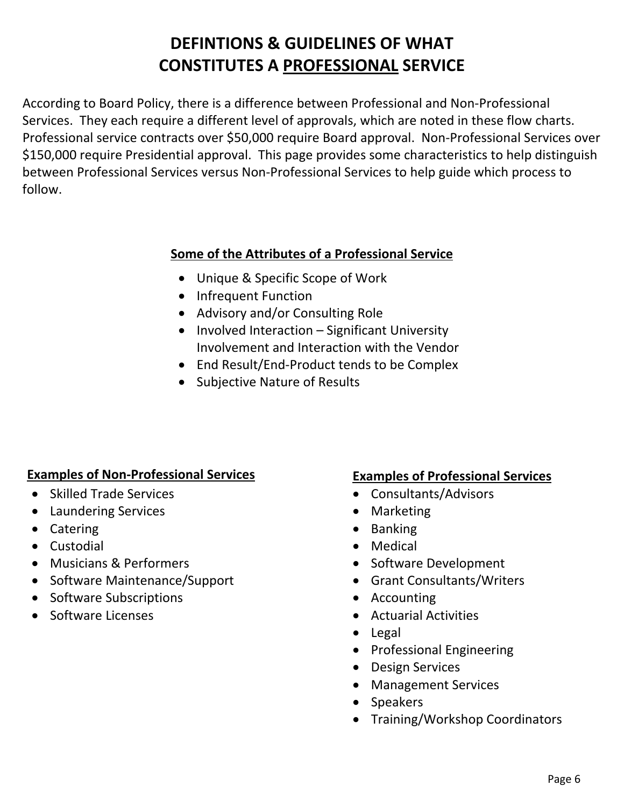# **DEFINTIONS & GUIDELINES OF WHAT CONSTITUTES A PROFESSIONAL SERVICE**

According to Board Policy, there is a difference between Professional and Non‐Professional Services. They each require a different level of approvals, which are noted in these flow charts. Professional service contracts over \$50,000 require Board approval. Non‐Professional Services over \$150,000 require Presidential approval. This page provides some characteristics to help distinguish between Professional Services versus Non‐Professional Services to help guide which process to follow.

#### **Some of the Attributes of a Professional Service**

- Unique & Specific Scope of Work
- Infrequent Function
- Advisory and/or Consulting Role
- Involved Interaction Significant University Involvement and Interaction with the Vendor
- End Result/End-Product tends to be Complex
- Subjective Nature of Results

#### **Examples of Non‐Professional Services Examples of Professional Services**

- Skilled Trade Services
- Laundering Services
- Catering
- Custodial
- Musicians & Performers
- Software Maintenance/Support
- Software Subscriptions
- Software Licenses

- Consultants/Advisors
- Marketing
- Banking
- Medical
- Software Development
- Grant Consultants/Writers
- Accounting
- Actuarial Activities
- Legal
- Professional Engineering
- Design Services
- Management Services
- Speakers
- Training/Workshop Coordinators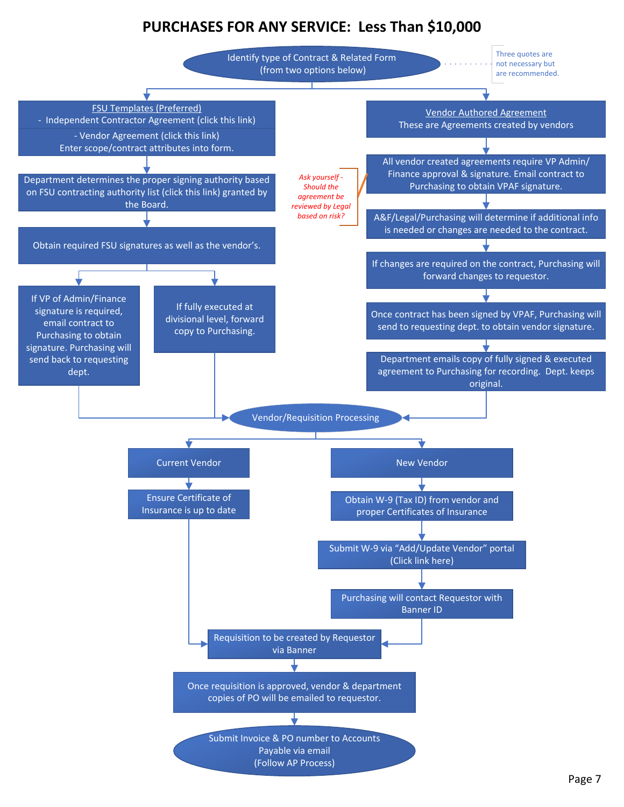# **PURCHASES FOR ANY SERVICE: Less Than \$10,000**

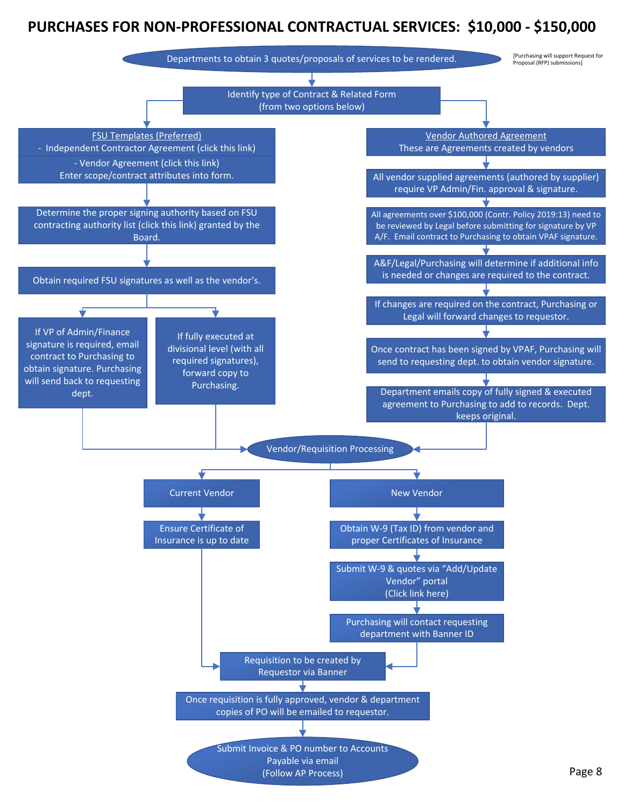# **PURCHASES FOR NON‐PROFESSIONAL CONTRACTUAL SERVICES: \$10,000 ‐ \$150,000**

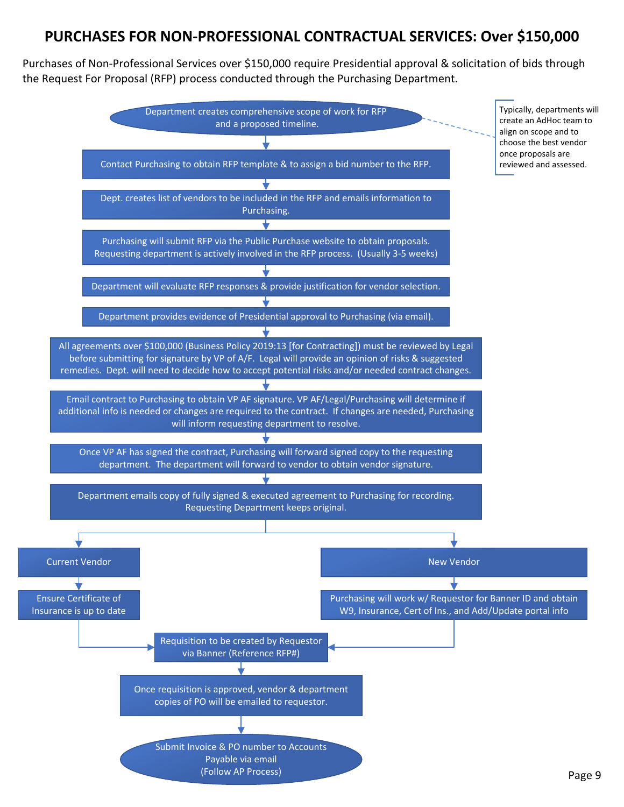## **PURCHASES FOR NON‐PROFESSIONAL CONTRACTUAL SERVICES: Over \$150,000**

Purchases of Non‐Professional Services over \$150,000 require Presidential approval & solicitation of bids through the Request For Proposal (RFP) process conducted through the Purchasing Department.

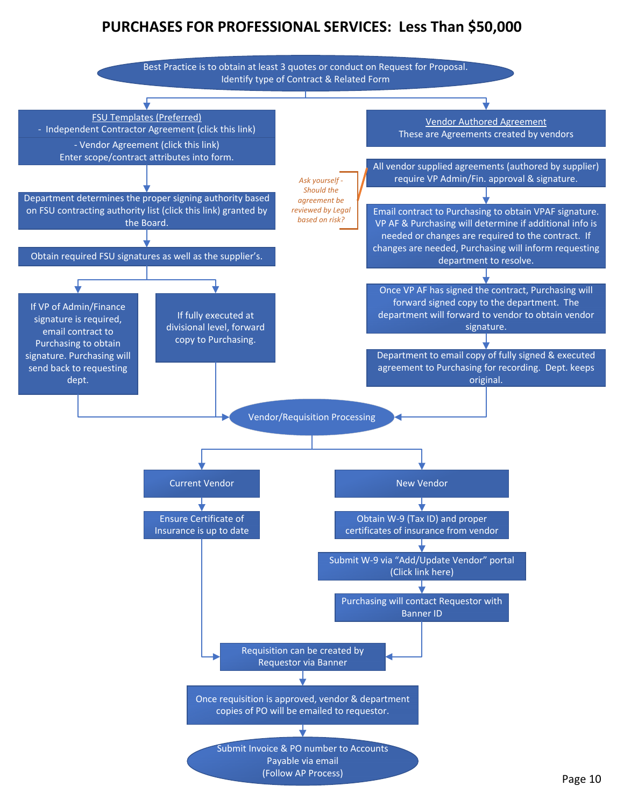# **PURCHASES FOR PROFESSIONAL SERVICES: Less Than \$50,000**

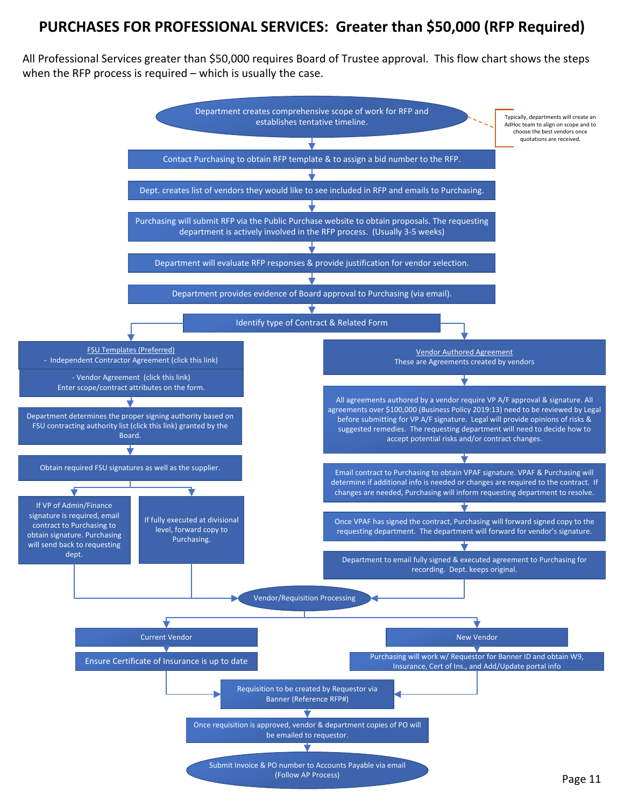# **PURCHASES FOR PROFESSIONAL SERVICES: Greater than \$50,000 (RFP Required)**

All Professional Services greater than \$50,000 requires Board of Trustee approval. This flow chart shows the steps when the RFP process is required – which is usually the case.